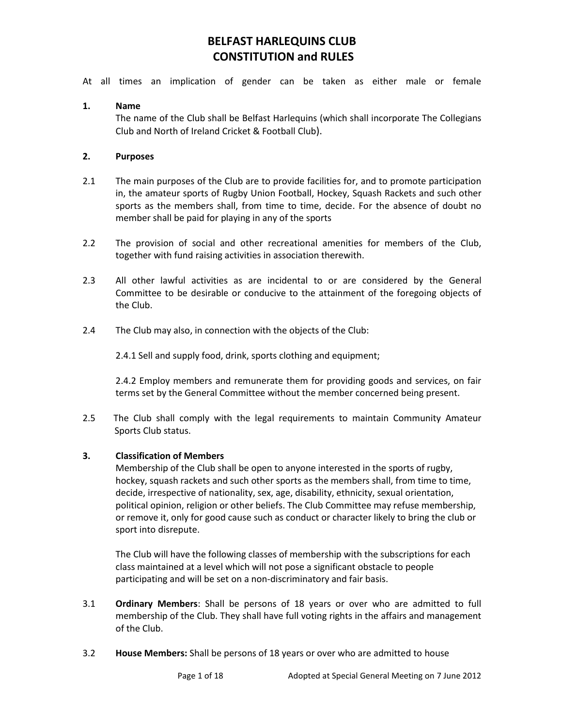At all times an implication of gender can be taken as either male or female

## **1. Name**

The name of the Club shall be Belfast Harlequins (which shall incorporate The Collegians Club and North of Ireland Cricket & Football Club).

## **2. Purposes**

- 2.1 The main purposes of the Club are to provide facilities for, and to promote participation in, the amateur sports of Rugby Union Football, Hockey, Squash Rackets and such other sports as the members shall, from time to time, decide. For the absence of doubt no member shall be paid for playing in any of the sports
- 2.2 The provision of social and other recreational amenities for members of the Club, together with fund raising activities in association therewith.
- 2.3 All other lawful activities as are incidental to or are considered by the General Committee to be desirable or conducive to the attainment of the foregoing objects of the Club.
- 2.4 The Club may also, in connection with the objects of the Club:

2.4.1 Sell and supply food, drink, sports clothing and equipment;

2.4.2 Employ members and remunerate them for providing goods and services, on fair terms set by the General Committee without the member concerned being present.

2.5 The Club shall comply with the legal requirements to maintain Community Amateur Sports Club status.

### **3. Classification of Members**

Membership of the Club shall be open to anyone interested in the sports of rugby, hockey, squash rackets and such other sports as the members shall, from time to time, decide, irrespective of nationality, sex, age, disability, ethnicity, sexual orientation, political opinion, religion or other beliefs. The Club Committee may refuse membership, or remove it, only for good cause such as conduct or character likely to bring the club or sport into disrepute.

The Club will have the following classes of membership with the subscriptions for each class maintained at a level which will not pose a significant obstacle to people participating and will be set on a non-discriminatory and fair basis.

- 3.1 **Ordinary Members**: Shall be persons of 18 years or over who are admitted to full membership of the Club. They shall have full voting rights in the affairs and management of the Club.
- 3.2 **House Members:** Shall be persons of 18 years or over who are admitted to house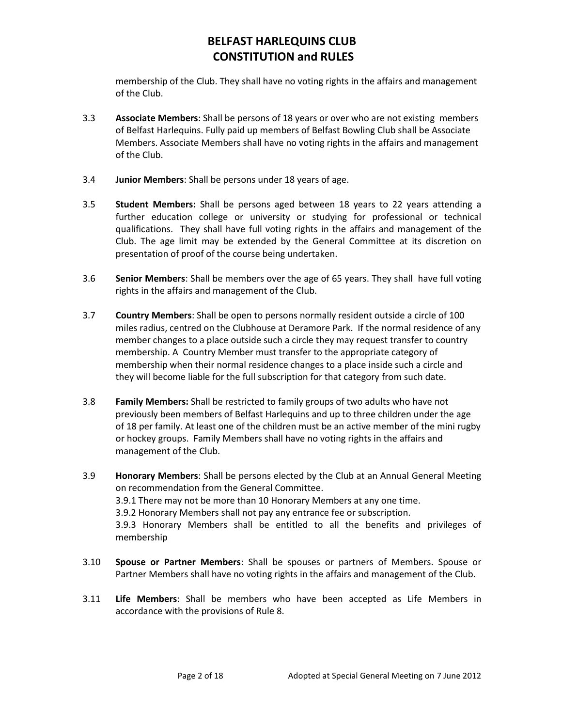membership of the Club. They shall have no voting rights in the affairs and management of the Club.

- 3.3 **Associate Members**: Shall be persons of 18 years or over who are not existing members of Belfast Harlequins. Fully paid up members of Belfast Bowling Club shall be Associate Members. Associate Members shall have no voting rights in the affairs and management of the Club.
- 3.4 **Junior Members**: Shall be persons under 18 years of age.
- 3.5 **Student Members:** Shall be persons aged between 18 years to 22 years attending a further education college or university or studying for professional or technical qualifications. They shall have full voting rights in the affairs and management of the Club. The age limit may be extended by the General Committee at its discretion on presentation of proof of the course being undertaken.
- 3.6 **Senior Members**: Shall be members over the age of 65 years. They shall have full voting rights in the affairs and management of the Club.
- 3.7 **Country Members**: Shall be open to persons normally resident outside a circle of 100 miles radius, centred on the Clubhouse at Deramore Park. If the normal residence of any member changes to a place outside such a circle they may request transfer to country membership. A Country Member must transfer to the appropriate category of membership when their normal residence changes to a place inside such a circle and they will become liable for the full subscription for that category from such date.
- 3.8 **Family Members:** Shall be restricted to family groups of two adults who have not previously been members of Belfast Harlequins and up to three children under the age of 18 per family. At least one of the children must be an active member of the mini rugby or hockey groups. Family Members shall have no voting rights in the affairs and management of the Club.
- 3.9 **Honorary Members**: Shall be persons elected by the Club at an Annual General Meeting on recommendation from the General Committee. 3.9.1 There may not be more than 10 Honorary Members at any one time. 3.9.2 Honorary Members shall not pay any entrance fee or subscription. 3.9.3 Honorary Members shall be entitled to all the benefits and privileges of membership
- 3.10 **Spouse or Partner Members**: Shall be spouses or partners of Members. Spouse or Partner Members shall have no voting rights in the affairs and management of the Club.
- 3.11 **Life Members**: Shall be members who have been accepted as Life Members in accordance with the provisions of Rule 8.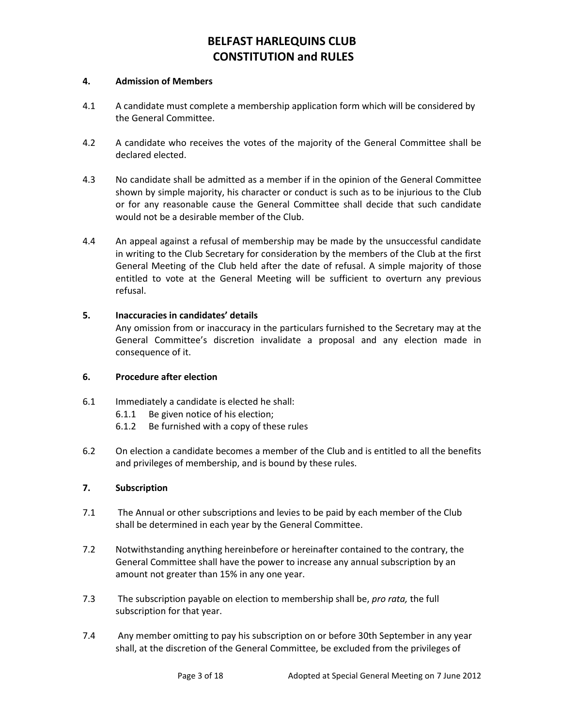#### **4. Admission of Members**

- 4.1 A candidate must complete a membership application form which will be considered by the General Committee.
- 4.2 A candidate who receives the votes of the majority of the General Committee shall be declared elected.
- 4.3 No candidate shall be admitted as a member if in the opinion of the General Committee shown by simple majority, his character or conduct is such as to be injurious to the Club or for any reasonable cause the General Committee shall decide that such candidate would not be a desirable member of the Club.
- 4.4 An appeal against a refusal of membership may be made by the unsuccessful candidate in writing to the Club Secretary for consideration by the members of the Club at the first General Meeting of the Club held after the date of refusal. A simple majority of those entitled to vote at the General Meeting will be sufficient to overturn any previous refusal.

### **5. Inaccuracies in candidates' details**

Any omission from or inaccuracy in the particulars furnished to the Secretary may at the General Committee's discretion invalidate a proposal and any election made in consequence of it.

### **6. Procedure after election**

- 6.1 Immediately a candidate is elected he shall:
	- 6.1.1 Be given notice of his election;
	- 6.1.2 Be furnished with a copy of these rules
- 6.2 On election a candidate becomes a member of the Club and is entitled to all the benefits and privileges of membership, and is bound by these rules.

### **7. Subscription**

- 7.1 The Annual or other subscriptions and levies to be paid by each member of the Club shall be determined in each year by the General Committee.
- 7.2 Notwithstanding anything hereinbefore or hereinafter contained to the contrary, the General Committee shall have the power to increase any annual subscription by an amount not greater than 15% in any one year.
- 7.3 The subscription payable on election to membership shall be, *pro rata,* the full subscription for that year.
- 7.4 Any member omitting to pay his subscription on or before 30th September in any year shall, at the discretion of the General Committee, be excluded from the privileges of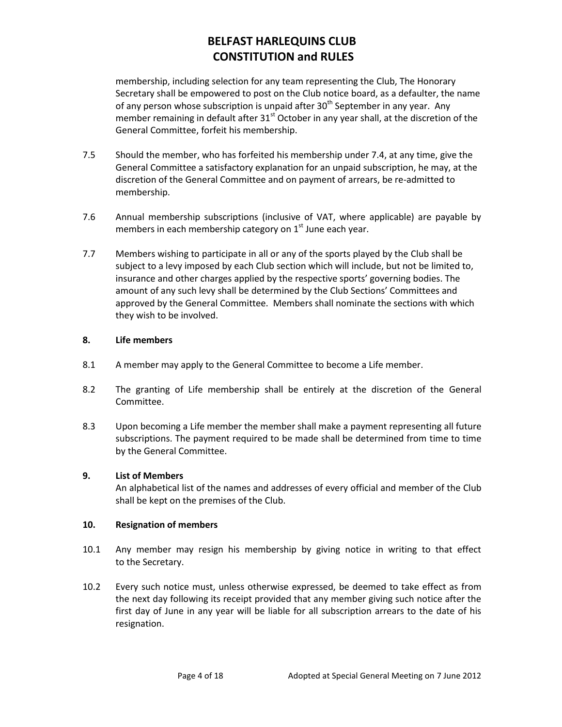membership, including selection for any team representing the Club, The Honorary Secretary shall be empowered to post on the Club notice board, as a defaulter, the name of any person whose subscription is unpaid after  $30<sup>th</sup>$  September in any year. Any member remaining in default after 31<sup>st</sup> October in any year shall, at the discretion of the General Committee, forfeit his membership.

- 7.5 Should the member, who has forfeited his membership under 7.4, at any time, give the General Committee a satisfactory explanation for an unpaid subscription, he may, at the discretion of the General Committee and on payment of arrears, be re-admitted to membership.
- 7.6 Annual membership subscriptions (inclusive of VAT, where applicable) are payable by members in each membership category on 1<sup>st</sup> June each year.
- 7.7 Members wishing to participate in all or any of the sports played by the Club shall be subject to a levy imposed by each Club section which will include, but not be limited to, insurance and other charges applied by the respective sports' governing bodies. The amount of any such levy shall be determined by the Club Sections' Committees and approved by the General Committee. Members shall nominate the sections with which they wish to be involved.

### **8. Life members**

- 8.1 A member may apply to the General Committee to become a Life member.
- 8.2 The granting of Life membership shall be entirely at the discretion of the General Committee.
- 8.3 Upon becoming a Life member the member shall make a payment representing all future subscriptions. The payment required to be made shall be determined from time to time by the General Committee.

## **9. List of Members**

An alphabetical list of the names and addresses of every official and member of the Club shall be kept on the premises of the Club.

### **10. Resignation of members**

- 10.1 Any member may resign his membership by giving notice in writing to that effect to the Secretary.
- 10.2 Every such notice must, unless otherwise expressed, be deemed to take effect as from the next day following its receipt provided that any member giving such notice after the first day of June in any year will be liable for all subscription arrears to the date of his resignation.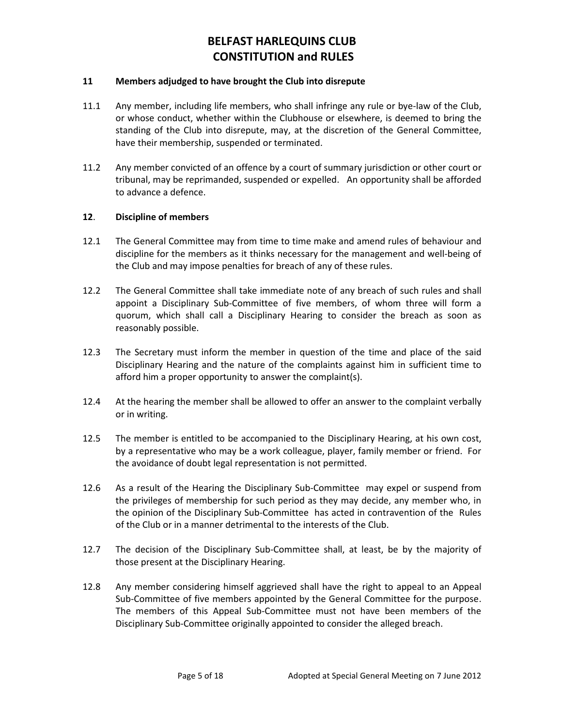#### **11 Members adjudged to have brought the Club into disrepute**

- 11.1 Any member, including life members, who shall infringe any rule or bye-law of the Club, or whose conduct, whether within the Clubhouse or elsewhere, is deemed to bring the standing of the Club into disrepute, may, at the discretion of the General Committee, have their membership, suspended or terminated.
- 11.2 Any member convicted of an offence by a court of summary jurisdiction or other court or tribunal, may be reprimanded, suspended or expelled. An opportunity shall be afforded to advance a defence.

#### **12**. **Discipline of members**

- 12.1 The General Committee may from time to time make and amend rules of behaviour and discipline for the members as it thinks necessary for the management and well-being of the Club and may impose penalties for breach of any of these rules.
- 12.2 The General Committee shall take immediate note of any breach of such rules and shall appoint a Disciplinary Sub-Committee of five members, of whom three will form a quorum, which shall call a Disciplinary Hearing to consider the breach as soon as reasonably possible.
- 12.3 The Secretary must inform the member in question of the time and place of the said Disciplinary Hearing and the nature of the complaints against him in sufficient time to afford him a proper opportunity to answer the complaint(s).
- 12.4 At the hearing the member shall be allowed to offer an answer to the complaint verbally or in writing.
- 12.5 The member is entitled to be accompanied to the Disciplinary Hearing, at his own cost, by a representative who may be a work colleague, player, family member or friend. For the avoidance of doubt legal representation is not permitted.
- 12.6 As a result of the Hearing the Disciplinary Sub-Committee may expel or suspend from the privileges of membership for such period as they may decide, any member who, in the opinion of the Disciplinary Sub-Committee has acted in contravention of the Rules of the Club or in a manner detrimental to the interests of the Club.
- 12.7 The decision of the Disciplinary Sub-Committee shall, at least, be by the majority of those present at the Disciplinary Hearing.
- 12.8 Any member considering himself aggrieved shall have the right to appeal to an Appeal Sub-Committee of five members appointed by the General Committee for the purpose. The members of this Appeal Sub-Committee must not have been members of the Disciplinary Sub-Committee originally appointed to consider the alleged breach.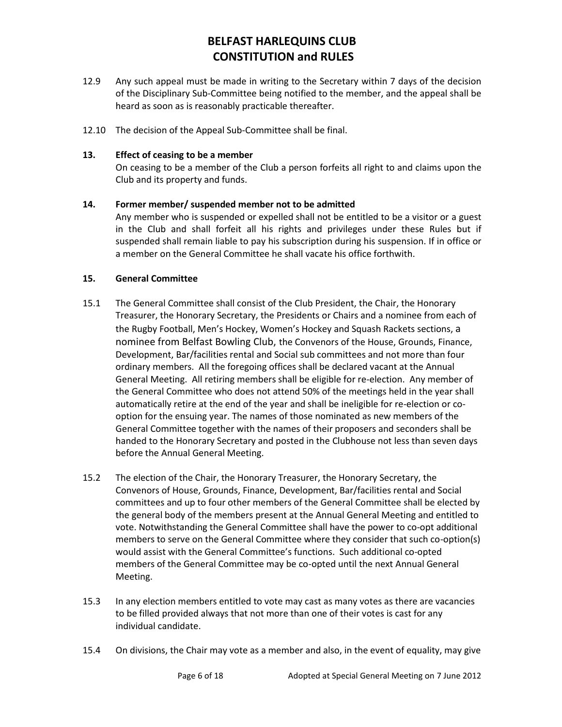- 12.9 Any such appeal must be made in writing to the Secretary within 7 days of the decision of the Disciplinary Sub-Committee being notified to the member, and the appeal shall be heard as soon as is reasonably practicable thereafter.
- 12.10 The decision of the Appeal Sub-Committee shall be final.

#### **13. Effect of ceasing to be a member**

On ceasing to be a member of the Club a person forfeits all right to and claims upon the Club and its property and funds.

#### **14. Former member/ suspended member not to be admitted**

Any member who is suspended or expelled shall not be entitled to be a visitor or a guest in the Club and shall forfeit all his rights and privileges under these Rules but if suspended shall remain liable to pay his subscription during his suspension. If in office or a member on the General Committee he shall vacate his office forthwith.

#### **15. General Committee**

- 15.1 The General Committee shall consist of the Club President, the Chair, the Honorary Treasurer, the Honorary Secretary, the Presidents or Chairs and a nominee from each of the Rugby Football, Men's Hockey, Women's Hockey and Squash Rackets sections, a nominee from Belfast Bowling Club, the Convenors of the House, Grounds, Finance, Development, Bar/facilities rental and Social sub committees and not more than four ordinary members. All the foregoing offices shall be declared vacant at the Annual General Meeting. All retiring members shall be eligible for re-election. Any member of the General Committee who does not attend 50% of the meetings held in the year shall automatically retire at the end of the year and shall be ineligible for re-election or cooption for the ensuing year. The names of those nominated as new members of the General Committee together with the names of their proposers and seconders shall be handed to the Honorary Secretary and posted in the Clubhouse not less than seven days before the Annual General Meeting.
- 15.2 The election of the Chair, the Honorary Treasurer, the Honorary Secretary, the Convenors of House, Grounds, Finance, Development, Bar/facilities rental and Social committees and up to four other members of the General Committee shall be elected by the general body of the members present at the Annual General Meeting and entitled to vote. Notwithstanding the General Committee shall have the power to co-opt additional members to serve on the General Committee where they consider that such co-option(s) would assist with the General Committee's functions. Such additional co-opted members of the General Committee may be co-opted until the next Annual General Meeting.
- 15.3 In any election members entitled to vote may cast as many votes as there are vacancies to be filled provided always that not more than one of their votes is cast for any individual candidate.
- 15.4 On divisions, the Chair may vote as a member and also, in the event of equality, may give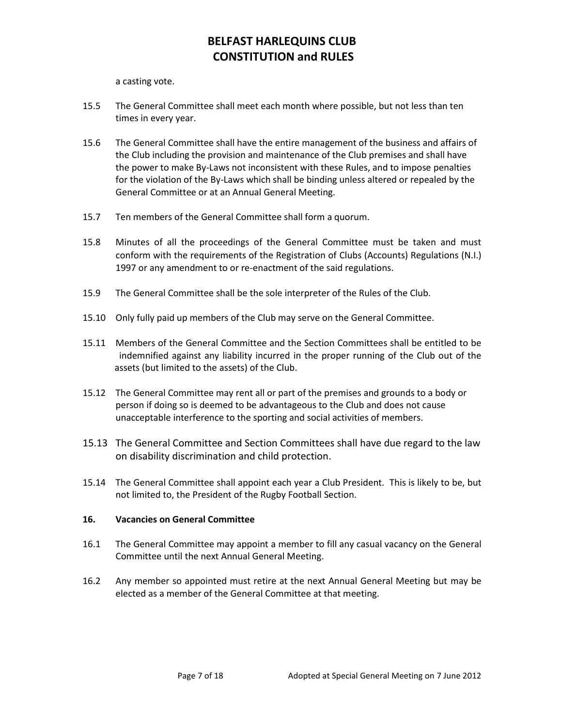a casting vote.

- 15.5 The General Committee shall meet each month where possible, but not less than ten times in every year.
- 15.6 The General Committee shall have the entire management of the business and affairs of the Club including the provision and maintenance of the Club premises and shall have the power to make By-Laws not inconsistent with these Rules, and to impose penalties for the violation of the By-Laws which shall be binding unless altered or repealed by the General Committee or at an Annual General Meeting.
- 15.7 Ten members of the General Committee shall form a quorum.
- 15.8 Minutes of all the proceedings of the General Committee must be taken and must conform with the requirements of the Registration of Clubs (Accounts) Regulations (N.I.) 1997 or any amendment to or re-enactment of the said regulations.
- 15.9 The General Committee shall be the sole interpreter of the Rules of the Club.
- 15.10 Only fully paid up members of the Club may serve on the General Committee.
- 15.11 Members of the General Committee and the Section Committees shall be entitled to be indemnified against any liability incurred in the proper running of the Club out of the assets (but limited to the assets) of the Club.
- 15.12 The General Committee may rent all or part of the premises and grounds to a body or person if doing so is deemed to be advantageous to the Club and does not cause unacceptable interference to the sporting and social activities of members.
- 15.13 The General Committee and Section Committees shall have due regard to the law on disability discrimination and child protection.
- 15.14 The General Committee shall appoint each year a Club President. This is likely to be, but not limited to, the President of the Rugby Football Section.

### **16. Vacancies on General Committee**

- 16.1 The General Committee may appoint a member to fill any casual vacancy on the General Committee until the next Annual General Meeting.
- 16.2 Any member so appointed must retire at the next Annual General Meeting but may be elected as a member of the General Committee at that meeting.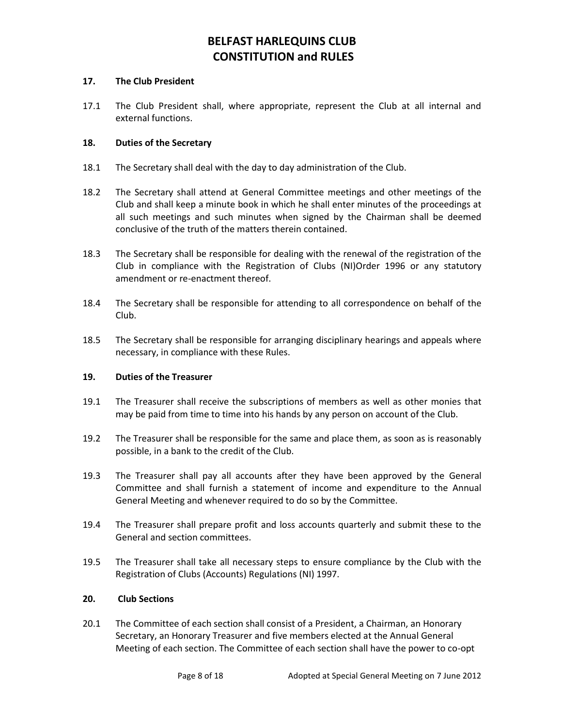#### **17. The Club President**

17.1 The Club President shall, where appropriate, represent the Club at all internal and external functions.

#### **18. Duties of the Secretary**

- 18.1 The Secretary shall deal with the day to day administration of the Club.
- 18.2 The Secretary shall attend at General Committee meetings and other meetings of the Club and shall keep a minute book in which he shall enter minutes of the proceedings at all such meetings and such minutes when signed by the Chairman shall be deemed conclusive of the truth of the matters therein contained.
- 18.3 The Secretary shall be responsible for dealing with the renewal of the registration of the Club in compliance with the Registration of Clubs (NI)Order 1996 or any statutory amendment or re-enactment thereof.
- 18.4 The Secretary shall be responsible for attending to all correspondence on behalf of the Club.
- 18.5 The Secretary shall be responsible for arranging disciplinary hearings and appeals where necessary, in compliance with these Rules.

#### **19. Duties of the Treasurer**

- 19.1 The Treasurer shall receive the subscriptions of members as well as other monies that may be paid from time to time into his hands by any person on account of the Club.
- 19.2 The Treasurer shall be responsible for the same and place them, as soon as is reasonably possible, in a bank to the credit of the Club.
- 19.3 The Treasurer shall pay all accounts after they have been approved by the General Committee and shall furnish a statement of income and expenditure to the Annual General Meeting and whenever required to do so by the Committee.
- 19.4 The Treasurer shall prepare profit and loss accounts quarterly and submit these to the General and section committees.
- 19.5 The Treasurer shall take all necessary steps to ensure compliance by the Club with the Registration of Clubs (Accounts) Regulations (NI) 1997.

#### **20. Club Sections**

20.1 The Committee of each section shall consist of a President, a Chairman, an Honorary Secretary, an Honorary Treasurer and five members elected at the Annual General Meeting of each section. The Committee of each section shall have the power to co-opt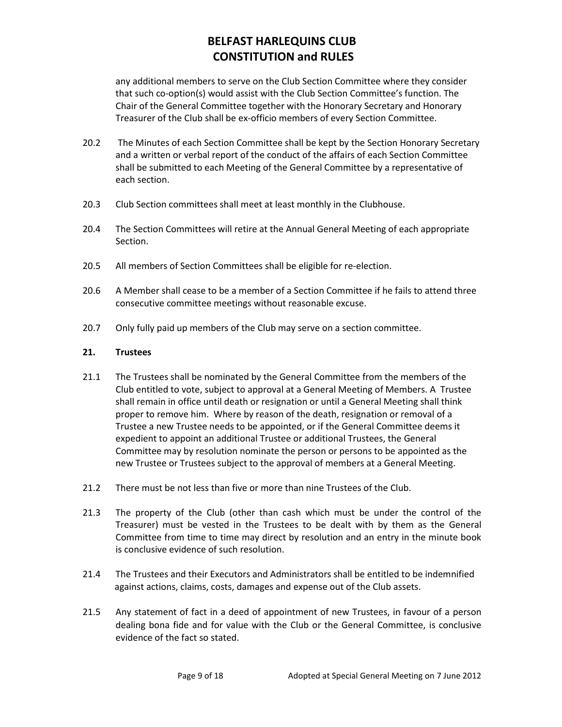any additional members to serve on the Club Section Committee where they consider that such co-option(s) would assist with the Club Section Committee's function. The Chair of the General Committee together with the Honorary Secretary and Honorary Treasurer of the Club shall be ex-officio members of every Section Committee.

- 20.2 The Minutes of each Section Committee shall be kept by the Section Honorary Secretary and a written or verbal report of the conduct of the affairs of each Section Committee shall be submitted to each Meeting of the General Committee by a representative of each section.
- 20.3 Club Section committees shall meet at least monthly in the Clubhouse.
- 20.4 The Section Committees will retire at the Annual General Meeting of each appropriate Section.
- 20.5 All members of Section Committees shall be eligible for re-election.
- 20.6 A Member shall cease to be a member of a Section Committee if he fails to attend three consecutive committee meetings without reasonable excuse.
- 20.7 Only fully paid up members of the Club may serve on a section committee.

#### **21. Trustees**

- 21.1 The Trustees shall be nominated by the General Committee from the members of the Club entitled to vote, subject to approval at a General Meeting of Members. A Trustee shall remain in office until death or resignation or until a General Meeting shall think proper to remove him. Where by reason of the death, resignation or removal of a Trustee a new Trustee needs to be appointed, or if the General Committee deems it expedient to appoint an additional Trustee or additional Trustees, the General Committee may by resolution nominate the person or persons to be appointed as the new Trustee or Trustees subject to the approval of members at a General Meeting.
- 21.2 There must be not less than five or more than nine Trustees of the Club.
- 21.3 The property of the Club (other than cash which must be under the control of the Treasurer) must be vested in the Trustees to be dealt with by them as the General Committee from time to time may direct by resolution and an entry in the minute book is conclusive evidence of such resolution.
- 21.4 The Trustees and their Executors and Administrators shall be entitled to be indemnified against actions, claims, costs, damages and expense out of the Club assets.
- 21.5 Any statement of fact in a deed of appointment of new Trustees, in favour of a person dealing bona fide and for value with the Club or the General Committee, is conclusive evidence of the fact so stated.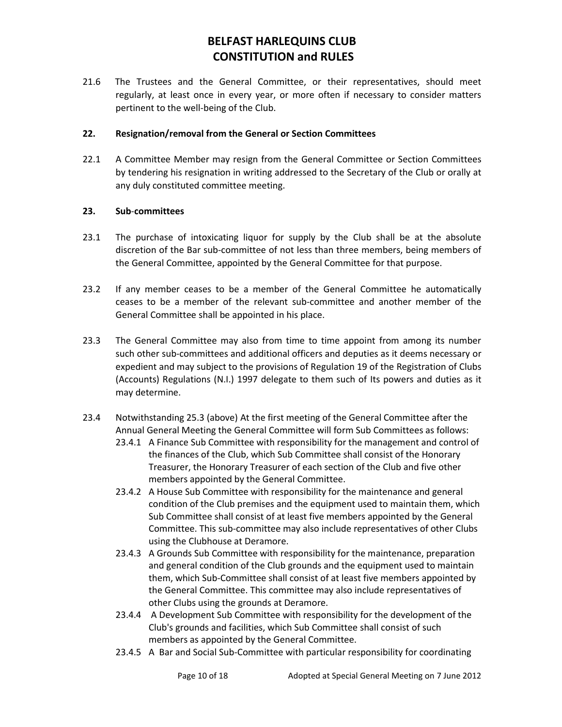21.6 The Trustees and the General Committee, or their representatives, should meet regularly, at least once in every year, or more often if necessary to consider matters pertinent to the well-being of the Club.

## **22. Resignation/removal from the General or Section Committees**

22.1 A Committee Member may resign from the General Committee or Section Committees by tendering his resignation in writing addressed to the Secretary of the Club or orally at any duly constituted committee meeting.

## **23. Sub**-**committees**

- 23.1 The purchase of intoxicating liquor for supply by the Club shall be at the absolute discretion of the Bar sub-committee of not less than three members, being members of the General Committee, appointed by the General Committee for that purpose.
- 23.2 If any member ceases to be a member of the General Committee he automatically ceases to be a member of the relevant sub-committee and another member of the General Committee shall be appointed in his place.
- 23.3 The General Committee may also from time to time appoint from among its number such other sub-committees and additional officers and deputies as it deems necessary or expedient and may subject to the provisions of Regulation 19 of the Registration of Clubs (Accounts) Regulations (N.I.) 1997 delegate to them such of Its powers and duties as it may determine.
- 23.4 Notwithstanding 25.3 (above) At the first meeting of the General Committee after the Annual General Meeting the General Committee will form Sub Committees as follows:
	- 23.4.1 A Finance Sub Committee with responsibility for the management and control of the finances of the Club, which Sub Committee shall consist of the Honorary Treasurer, the Honorary Treasurer of each section of the Club and five other members appointed by the General Committee.
	- 23.4.2 A House Sub Committee with responsibility for the maintenance and general condition of the Club premises and the equipment used to maintain them, which Sub Committee shall consist of at least five members appointed by the General Committee. This sub-committee may also include representatives of other Clubs using the Clubhouse at Deramore.
	- 23.4.3 A Grounds Sub Committee with responsibility for the maintenance, preparation and general condition of the Club grounds and the equipment used to maintain them, which Sub-Committee shall consist of at least five members appointed by the General Committee. This committee may also include representatives of other Clubs using the grounds at Deramore.
	- 23.4.4 A Development Sub Committee with responsibility for the development of the Club's grounds and facilities, which Sub Committee shall consist of such members as appointed by the General Committee.
	- 23.4.5 A Bar and Social Sub-Committee with particular responsibility for coordinating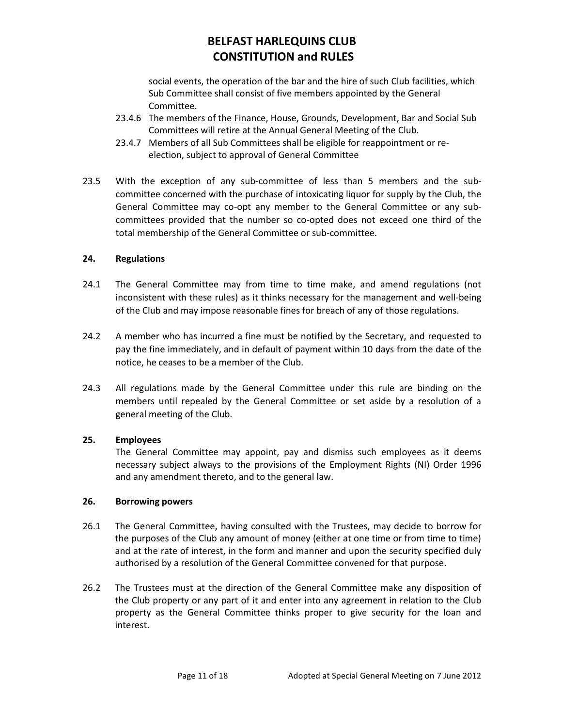social events, the operation of the bar and the hire of such Club facilities, which Sub Committee shall consist of five members appointed by the General Committee.

- 23.4.6 The members of the Finance, House, Grounds, Development, Bar and Social Sub Committees will retire at the Annual General Meeting of the Club.
- 23.4.7 Members of all Sub Committees shall be eligible for reappointment or reelection, subject to approval of General Committee
- 23.5 With the exception of any sub-committee of less than 5 members and the subcommittee concerned with the purchase of intoxicating liquor for supply by the Club, the General Committee may co-opt any member to the General Committee or any subcommittees provided that the number so co-opted does not exceed one third of the total membership of the General Committee or sub-committee.

### **24. Regulations**

- 24.1 The General Committee may from time to time make, and amend regulations (not inconsistent with these rules) as it thinks necessary for the management and well-being of the Club and may impose reasonable fines for breach of any of those regulations.
- 24.2 A member who has incurred a fine must be notified by the Secretary, and requested to pay the fine immediately, and in default of payment within 10 days from the date of the notice, he ceases to be a member of the Club.
- 24.3 All regulations made by the General Committee under this rule are binding on the members until repealed by the General Committee or set aside by a resolution of a general meeting of the Club.

### **25. Employees**

The General Committee may appoint, pay and dismiss such employees as it deems necessary subject always to the provisions of the Employment Rights (NI) Order 1996 and any amendment thereto, and to the general law.

### **26. Borrowing powers**

- 26.1 The General Committee, having consulted with the Trustees, may decide to borrow for the purposes of the Club any amount of money (either at one time or from time to time) and at the rate of interest, in the form and manner and upon the security specified duly authorised by a resolution of the General Committee convened for that purpose.
- 26.2 The Trustees must at the direction of the General Committee make any disposition of the Club property or any part of it and enter into any agreement in relation to the Club property as the General Committee thinks proper to give security for the loan and interest.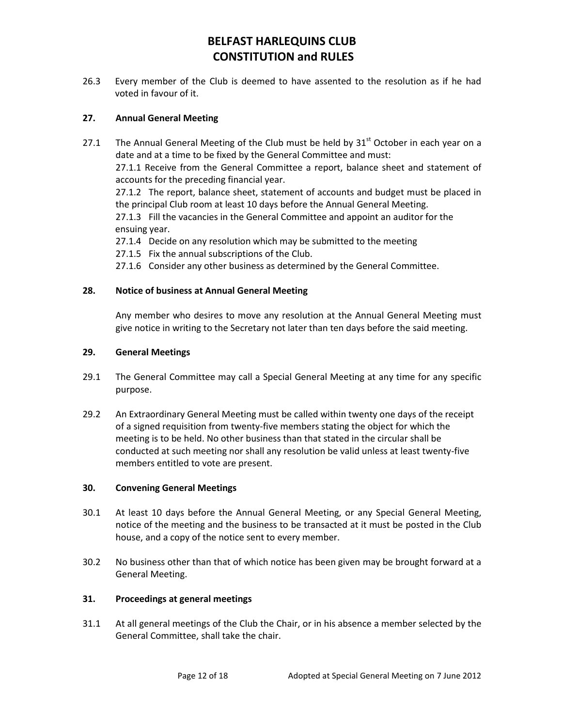26.3 Every member of the Club is deemed to have assented to the resolution as if he had voted in favour of it.

## **27. Annual General Meeting**

27.1 The Annual General Meeting of the Club must be held by  $31<sup>st</sup>$  October in each year on a date and at a time to be fixed by the General Committee and must: 27.1.1 Receive from the General Committee a report, balance sheet and statement of accounts for the preceding financial year. 27.1.2 The report, balance sheet, statement of accounts and budget must be placed in the principal Club room at least 10 days before the Annual General Meeting. 27.1.3 Fill the vacancies in the General Committee and appoint an auditor for the ensuing year. 27.1.4 Decide on any resolution which may be submitted to the meeting 27.1.5 Fix the annual subscriptions of the Club. 27.1.6 Consider any other business as determined by the General Committee.

## **28. Notice of business at Annual General Meeting**

Any member who desires to move any resolution at the Annual General Meeting must give notice in writing to the Secretary not later than ten days before the said meeting.

### **29. General Meetings**

- 29.1 The General Committee may call a Special General Meeting at any time for any specific purpose.
- 29.2 An Extraordinary General Meeting must be called within twenty one days of the receipt of a signed requisition from twenty-five members stating the object for which the meeting is to be held. No other business than that stated in the circular shall be conducted at such meeting nor shall any resolution be valid unless at least twenty-five members entitled to vote are present.

### **30. Convening General Meetings**

- 30.1 At least 10 days before the Annual General Meeting, or any Special General Meeting, notice of the meeting and the business to be transacted at it must be posted in the Club house, and a copy of the notice sent to every member.
- 30.2 No business other than that of which notice has been given may be brought forward at a General Meeting.

### **31. Proceedings at general meetings**

31.1 At all general meetings of the Club the Chair, or in his absence a member selected by the General Committee, shall take the chair.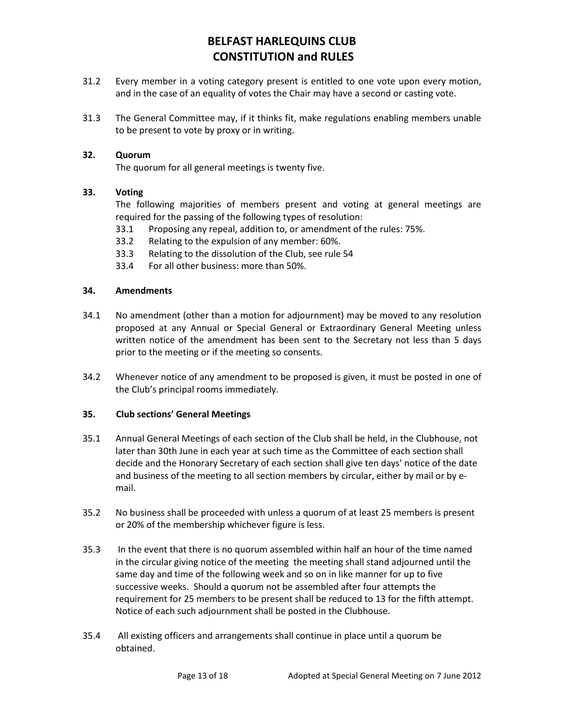- 31.2 Every member in a voting category present is entitled to one vote upon every motion, and in the case of an equality of votes the Chair may have a second or casting vote.
- 31.3 The General Committee may, if it thinks fit, make regulations enabling members unable to be present to vote by proxy or in writing.

#### **32. Quorum**

The quorum for all general meetings is twenty five.

#### **33. Voting**

The following majorities of members present and voting at general meetings are required for the passing of the following types of resolution:

- 33.1 Proposing any repeal, addition to, or amendment of the rules: 75%.
- 33.2 Relating to the expulsion of any member: 60%.
- 33.3 Relating to the dissolution of the Club, see rule 54
- 33.4 For all other business: more than 50%.

#### **34. Amendments**

- 34.1 No amendment (other than a motion for adjournment) may be moved to any resolution proposed at any Annual or Special General or Extraordinary General Meeting unless written notice of the amendment has been sent to the Secretary not less than 5 days prior to the meeting or if the meeting so consents.
- 34.2 Whenever notice of any amendment to be proposed is given, it must be posted in one of the Club's principal rooms immediately.

#### **35. Club sections' General Meetings**

- 35.1 Annual General Meetings of each section of the Club shall be held, in the Clubhouse, not later than 30th June in each year at such time as the Committee of each section shall decide and the Honorary Secretary of each section shall give ten days' notice of the date and business of the meeting to all section members by circular, either by mail or by email.
- 35.2 No business shall be proceeded with unless a quorum of at least 25 members is present or 20% of the membership whichever figure is less.
- 35.3 In the event that there is no quorum assembled within half an hour of the time named in the circular giving notice of the meeting the meeting shall stand adjourned until the same day and time of the following week and so on in like manner for up to five successive weeks. Should a quorum not be assembled after four attempts the requirement for 25 members to be present shall be reduced to 13 for the fifth attempt. Notice of each such adjournment shall be posted in the Clubhouse.
- 35.4 All existing officers and arrangements shall continue in place until a quorum be obtained.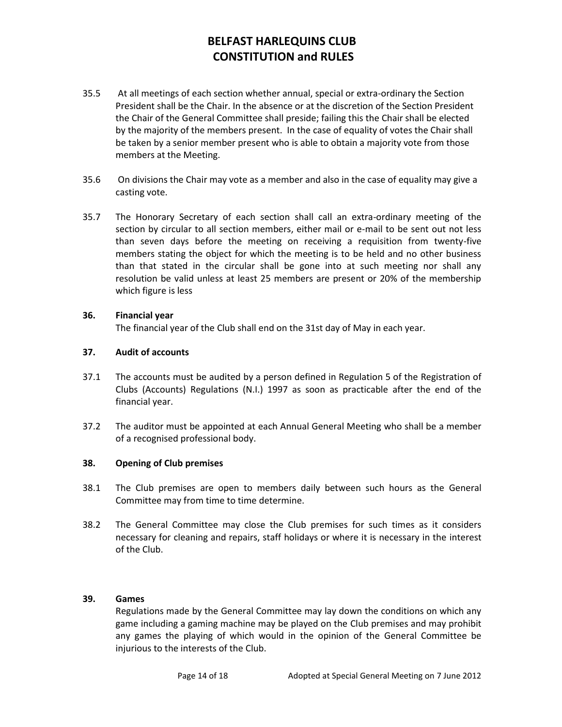- 35.5 At all meetings of each section whether annual, special or extra-ordinary the Section President shall be the Chair. In the absence or at the discretion of the Section President the Chair of the General Committee shall preside; failing this the Chair shall be elected by the majority of the members present. In the case of equality of votes the Chair shall be taken by a senior member present who is able to obtain a majority vote from those members at the Meeting.
- 35.6 On divisions the Chair may vote as a member and also in the case of equality may give a casting vote.
- 35.7 The Honorary Secretary of each section shall call an extra-ordinary meeting of the section by circular to all section members, either mail or e-mail to be sent out not less than seven days before the meeting on receiving a requisition from twenty-five members stating the object for which the meeting is to be held and no other business than that stated in the circular shall be gone into at such meeting nor shall any resolution be valid unless at least 25 members are present or 20% of the membership which figure is less

### **36. Financial year**

The financial year of the Club shall end on the 31st day of May in each year.

### **37. Audit of accounts**

- 37.1 The accounts must be audited by a person defined in Regulation 5 of the Registration of Clubs (Accounts) Regulations (N.I.) 1997 as soon as practicable after the end of the financial year.
- 37.2 The auditor must be appointed at each Annual General Meeting who shall be a member of a recognised professional body.

### **38. Opening of Club premises**

- 38.1 The Club premises are open to members daily between such hours as the General Committee may from time to time determine.
- 38.2 The General Committee may close the Club premises for such times as it considers necessary for cleaning and repairs, staff holidays or where it is necessary in the interest of the Club.

### **39. Games**

Regulations made by the General Committee may lay down the conditions on which any game including a gaming machine may be played on the Club premises and may prohibit any games the playing of which would in the opinion of the General Committee be injurious to the interests of the Club.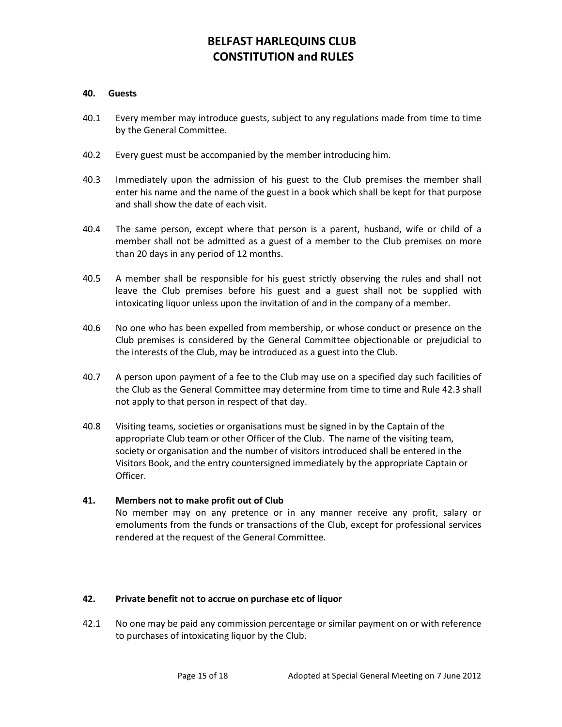#### **40. Guests**

- 40.1 Every member may introduce guests, subject to any regulations made from time to time by the General Committee.
- 40.2 Every guest must be accompanied by the member introducing him.
- 40.3 Immediately upon the admission of his guest to the Club premises the member shall enter his name and the name of the guest in a book which shall be kept for that purpose and shall show the date of each visit.
- 40.4 The same person, except where that person is a parent, husband, wife or child of a member shall not be admitted as a guest of a member to the Club premises on more than 20 days in any period of 12 months.
- 40.5 A member shall be responsible for his guest strictly observing the rules and shall not leave the Club premises before his guest and a guest shall not be supplied with intoxicating liquor unless upon the invitation of and in the company of a member.
- 40.6 No one who has been expelled from membership, or whose conduct or presence on the Club premises is considered by the General Committee objectionable or prejudicial to the interests of the Club, may be introduced as a guest into the Club.
- 40.7 A person upon payment of a fee to the Club may use on a specified day such facilities of the Club as the General Committee may determine from time to time and Rule 42.3 shall not apply to that person in respect of that day.
- 40.8 Visiting teams, societies or organisations must be signed in by the Captain of the appropriate Club team or other Officer of the Club. The name of the visiting team, society or organisation and the number of visitors introduced shall be entered in the Visitors Book, and the entry countersigned immediately by the appropriate Captain or Officer.

### **41. Members not to make profit out of Club**

No member may on any pretence or in any manner receive any profit, salary or emoluments from the funds or transactions of the Club, except for professional services rendered at the request of the General Committee.

#### **42. Private benefit not to accrue on purchase etc of liquor**

42.1 No one may be paid any commission percentage or similar payment on or with reference to purchases of intoxicating liquor by the Club.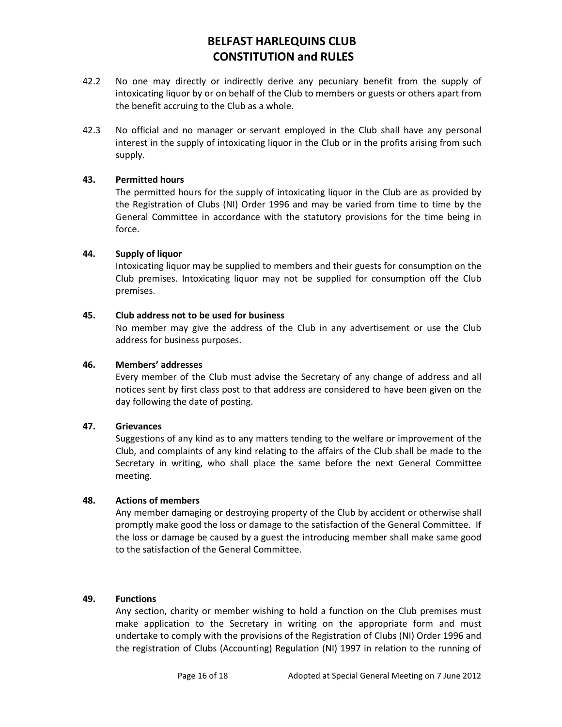- 42.2 No one may directly or indirectly derive any pecuniary benefit from the supply of intoxicating liquor by or on behalf of the Club to members or guests or others apart from the benefit accruing to the Club as a whole.
- 42.3 No official and no manager or servant employed in the Club shall have any personal interest in the supply of intoxicating liquor in the Club or in the profits arising from such supply.

#### **43. Permitted hours**

The permitted hours for the supply of intoxicating liquor in the Club are as provided by the Registration of Clubs (NI) Order 1996 and may be varied from time to time by the General Committee in accordance with the statutory provisions for the time being in force.

#### **44. Supply of liquor**

Intoxicating liquor may be supplied to members and their guests for consumption on the Club premises. Intoxicating liquor may not be supplied for consumption off the Club premises.

#### **45. Club address not to be used for business**

No member may give the address of the Club in any advertisement or use the Club address for business purposes.

#### **46. Members' addresses**

Every member of the Club must advise the Secretary of any change of address and all notices sent by first class post to that address are considered to have been given on the day following the date of posting.

#### **47. Grievances**

Suggestions of any kind as to any matters tending to the welfare or improvement of the Club, and complaints of any kind relating to the affairs of the Club shall be made to the Secretary in writing, who shall place the same before the next General Committee meeting.

#### **48. Actions of members**

Any member damaging or destroying property of the Club by accident or otherwise shall promptly make good the loss or damage to the satisfaction of the General Committee. If the loss or damage be caused by a guest the introducing member shall make same good to the satisfaction of the General Committee.

#### **49. Functions**

Any section, charity or member wishing to hold a function on the Club premises must make application to the Secretary in writing on the appropriate form and must undertake to comply with the provisions of the Registration of Clubs (NI) Order 1996 and the registration of Clubs (Accounting) Regulation (NI) 1997 in relation to the running of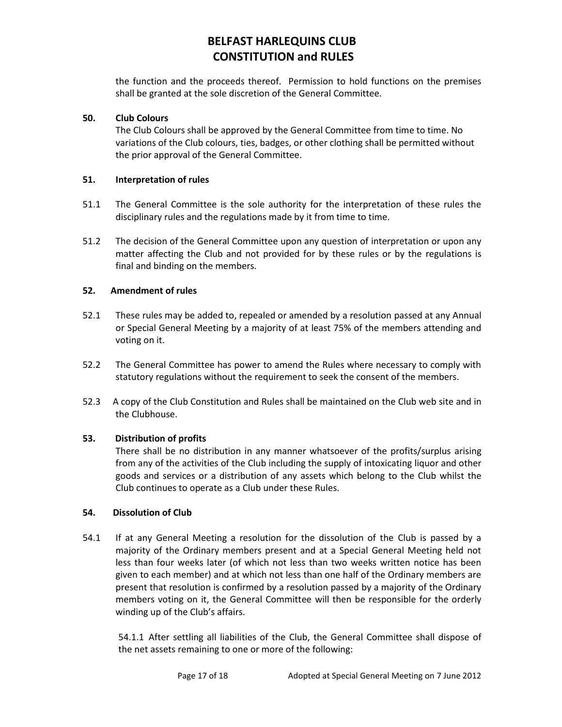the function and the proceeds thereof. Permission to hold functions on the premises shall be granted at the sole discretion of the General Committee.

## **50. Club Colours**

The Club Colours shall be approved by the General Committee from time to time. No variations of the Club colours, ties, badges, or other clothing shall be permitted without the prior approval of the General Committee.

## **51. Interpretation of rules**

- 51.1 The General Committee is the sole authority for the interpretation of these rules the disciplinary rules and the regulations made by it from time to time.
- 51.2 The decision of the General Committee upon any question of interpretation or upon any matter affecting the Club and not provided for by these rules or by the regulations is final and binding on the members.

## **52. Amendment of rules**

- 52.1 These rules may be added to, repealed or amended by a resolution passed at any Annual or Special General Meeting by a majority of at least 75% of the members attending and voting on it.
- 52.2 The General Committee has power to amend the Rules where necessary to comply with statutory regulations without the requirement to seek the consent of the members.
- 52.3 A copy of the Club Constitution and Rules shall be maintained on the Club web site and in the Clubhouse.

## **53. Distribution of profits**

There shall be no distribution in any manner whatsoever of the profits/surplus arising from any of the activities of the Club including the supply of intoxicating liquor and other goods and services or a distribution of any assets which belong to the Club whilst the Club continues to operate as a Club under these Rules.

### **54. Dissolution of Club**

54.1 If at any General Meeting a resolution for the dissolution of the Club is passed by a majority of the Ordinary members present and at a Special General Meeting held not less than four weeks later (of which not less than two weeks written notice has been given to each member) and at which not less than one half of the Ordinary members are present that resolution is confirmed by a resolution passed by a majority of the Ordinary members voting on it, the General Committee will then be responsible for the orderly winding up of the Club's affairs.

54.1.1 After settling all liabilities of the Club, the General Committee shall dispose of the net assets remaining to one or more of the following: